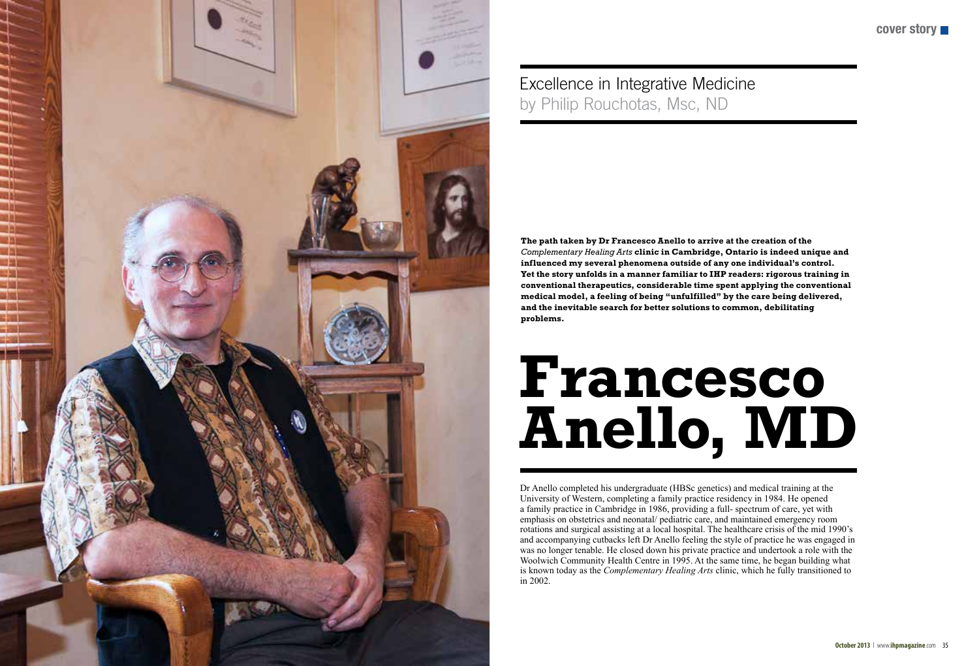



Dr Anello completed his undergraduate (HBSc genetics) and medical training at the University of Western, completing a family practice residency in 1984. He opened a family practice in Cambridge in 1986, providing a full- spectrum of care, yet with emphasis on obstetrics and neonatal/ pediatric care, and maintained emergency room rotations and surgical assisting at a local hospital. The healthcare crisis of the mid 1990's and accompanying cutbacks left Dr Anello feeling the style of practice he was engaged in was no longer tenable. He closed down his private practice and undertook a role with the Woolwich Community Health Centre in 1995. At the same time, he began building what is known today as the *Complementary Healing Arts* clinic, which he fully transitioned to in 2002.

## **Francesco Anello, MD**

## Excellence in Integrative Medicine by Philip Rouchotas, Msc, ND

**The path taken by Dr Francesco Anello to arrive at the creation of the**  *Complementary Healing Arts* **clinic in Cambridge, Ontario is indeed unique and influenced my several phenomena outside of any one individual's control. Yet the story unfolds in a manner familiar to IHP readers: rigorous training in conventional therapeutics, considerable time spent applying the conventional medical model, a feeling of being "unfulfilled" by the care being delivered, and the inevitable search for better solutions to common, debilitating problems.**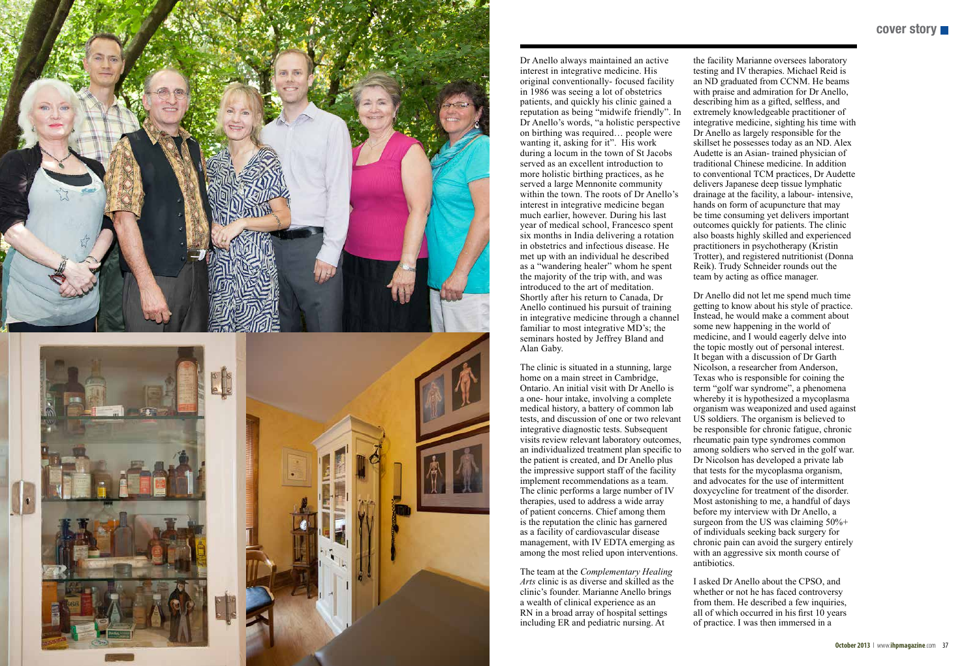**cover story**



Dr Anello always maintained an active interest in integrative medicine. His original conventionally- focused facility in 1986 was seeing a lot of obstetrics patients, and quickly his clinic gained a reputation as being "midwife friendly". In Dr Anello's words, "a holistic perspective on birthing was required… people were wanting it, asking for it". His work during a locum in the town of St Jacobs served as an excellent introduction to more holistic birthing practices, as he served a large Mennonite community within the town. The roots of Dr Anello's interest in integrative medicine began much earlier, however. During his last year of medical school, Francesco spent six months in India delivering a rotation in obstetrics and infectious disease. He met up with an individual he described as a "wandering healer" whom he spent the majority of the trip with, and was introduced to the art of meditation. Shortly after his return to Canada, Dr Anello continued his pursuit of training in integrative medicine through a channel familiar to most integrative MD's; the seminars hosted by Jeffrey Bland and Alan Gaby.

The clinic is situated in a stunning, large home on a main street in Cambridge, Ontario. An initial visit with Dr Anello is a one- hour intake, involving a complete medical history, a battery of common lab tests, and discussion of one or two relevant integrative diagnostic tests. Subsequent visits review relevant laboratory outcomes, an individualized treatment plan specific to the patient is created, and Dr Anello plus the impressive support staff of the facility implement recommendations as a team. The clinic performs a large number of IV therapies, used to address a wide array of patient concerns. Chief among them is the reputation the clinic has garnered as a facility of cardiovascular disease management, with IV EDTA emerging as among the most relied upon interventions.

The team at the *Complementary Healing Arts* clinic is as diverse and skilled as the clinic's founder. Marianne Anello brings a wealth of clinical experience as an RN in a broad array of hospital settings including ER and pediatric nursing. At

the facility Marianne oversees laboratory testing and IV therapies. Michael Reid is an ND graduated from CCNM. He beams with praise and admiration for Dr Anello, describing him as a gifted, selfless, and extremely knowledgeable practitioner of integrative medicine, sighting his time with Dr Anello as largely responsible for the skillset he possesses today as an ND. Alex Audette is an Asian- trained physician of traditional Chinese medicine. In addition to conventional TCM practices, Dr Audette delivers Japanese deep tissue lymphatic drainage at the facility, a labour- intensive, hands on form of acupuncture that may be time consuming yet delivers important outcomes quickly for patients. The clinic also boasts highly skilled and experienced practitioners in psychotherapy (Kristin Trotter), and registered nutritionist (Donna Reik). Trudy Schneider rounds out the team by acting as office manager.

Dr Anello did not let me spend much time getting to know about his style of practice. Instead, he would make a comment about some new happening in the world of medicine, and I would eagerly delve into the topic mostly out of personal interest. It began with a discussion of Dr Garth Nicolson, a researcher from Anderson, Texas who is responsible for coining the term "golf war syndrome", a phenomena whereby it is hypothesized a mycoplasma organism was weaponized and used against US soldiers. The organism is believed to be responsible for chronic fatigue, chronic rheumatic pain type syndromes common among soldiers who served in the golf war. Dr Nicolson has developed a private lab that tests for the mycoplasma organism, and advocates for the use of intermittent doxycycline for treatment of the disorder. Most astonishing to me, a handful of days before my interview with Dr Anello, a surgeon from the US was claiming  $50\% +$ of individuals seeking back surgery for chronic pain can avoid the surgery entirely with an aggressive six month course of antibiotics.

I asked Dr Anello about the CPSO, and whether or not he has faced controversy from them. He described a few inquiries, all of which occurred in his first 10 years of practice. I was then immersed in a